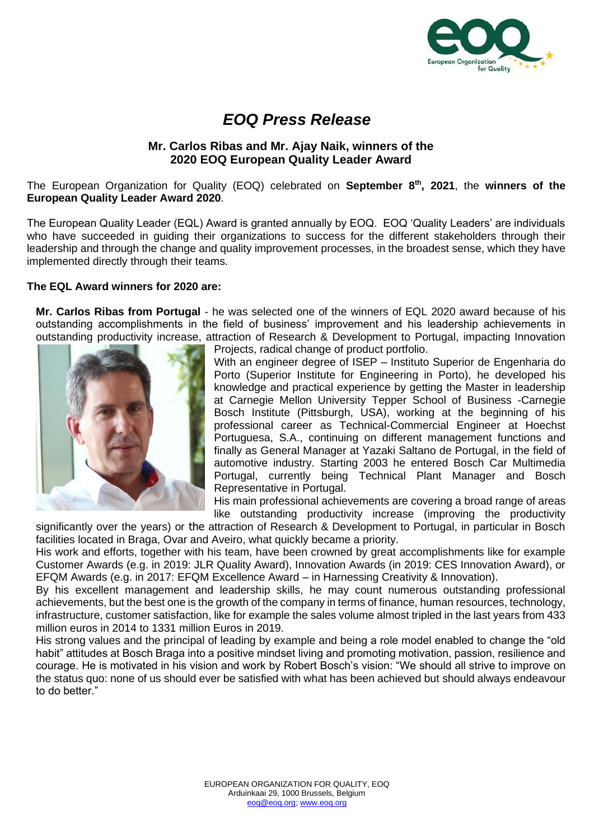

## *EOQ Press Release*

## **Mr. Carlos Ribas and Mr. Ajay Naik, winners of the 2020 EOQ European Quality Leader Award**

The European Organization for Quality (EOQ) celebrated on **September 8th, 2021**, the **winners of the European Quality Leader Award 2020**.

The European Quality Leader (EQL) Award is granted annually by EOQ. EOQ 'Quality Leaders' are individuals who have succeeded in guiding their organizations to success for the different stakeholders through their leadership and through the change and quality improvement processes, in the broadest sense, which they have implemented directly through their teams.

## **The EQL Award winners for 2020 are:**

**Mr. Carlos Ribas from Portugal** - he was selected one of the winners of EQL 2020 award because of his outstanding accomplishments in the field of business' improvement and his leadership achievements in outstanding productivity increase, attraction of Research & Development to Portugal, impacting Innovation



Projects, radical change of product portfolio.

With an engineer degree of ISEP – Instituto Superior de Engenharia do Porto (Superior Institute for Engineering in Porto), he developed his knowledge and practical experience by getting the Master in leadership at Carnegie Mellon University Tepper School of Business -Carnegie Bosch Institute (Pittsburgh, USA), working at the beginning of his professional career as Technical-Commercial Engineer at Hoechst Portuguesa, S.A., continuing on different management functions and finally as General Manager at Yazaki Saltano de Portugal, in the field of automotive industry. Starting 2003 he entered Bosch Car Multimedia Portugal, currently being Technical Plant Manager and Bosch Representative in Portugal.

His main professional achievements are covering a broad range of areas like outstanding productivity increase (improving the productivity

significantly over the years) or the attraction of Research & Development to Portugal, in particular in Bosch facilities located in Braga, Ovar and Aveiro, what quickly became a priority.

His work and efforts, together with his team, have been crowned by great accomplishments like for example Customer Awards (e.g. in 2019: JLR Quality Award), Innovation Awards (in 2019: CES Innovation Award), or EFQM Awards (e.g. in 2017: EFQM Excellence Award – in Harnessing Creativity & Innovation).

By his excellent management and leadership skills, he may count numerous outstanding professional achievements, but the best one is the growth of the company in terms of finance, human resources, technology, infrastructure, customer satisfaction, like for example the sales volume almost tripled in the last years from 433 million euros in 2014 to 1331 million Euros in 2019.

His strong values and the principal of leading by example and being a role model enabled to change the "old habit" attitudes at Bosch Braga into a positive mindset living and promoting motivation, passion, resilience and courage. He is motivated in his vision and work by Robert Bosch's vision: "We should all strive to improve on the status quo: none of us should ever be satisfied with what has been achieved but should always endeavour to do better."